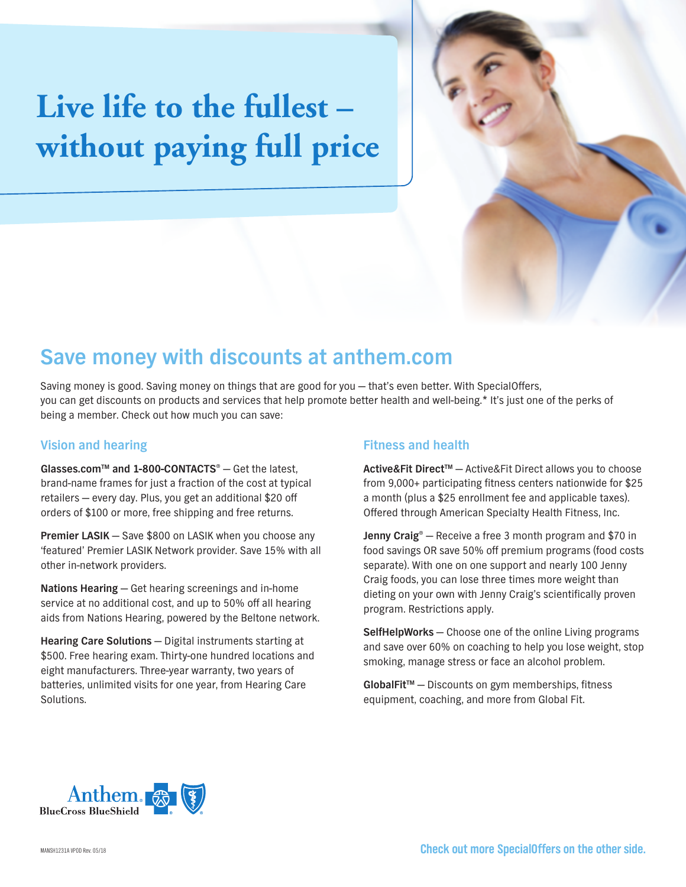# **Live life to the fullest – without paying full price**



## **Save money with discounts at anthem.com**

Saving money is good. Saving money on things that are good for you — that's even better. With SpecialOffers, you can get discounts on products and services that help promote better health and well-being.\* It's just one of the perks of being a member. Check out how much you can save:

### **Vision and hearing**

**Glasses.comTM and 1-800-CONTACTS®** — Get the latest, brand-name frames for just a fraction of the cost at typical retailers — every day. Plus, you get an additional \$20 off orders of \$100 or more, free shipping and free returns.

**Premier LASIK** — Save \$800 on LASIK when you choose any 'featured' Premier LASIK Network provider. Save 15% with all other in-network providers.

**Nations Hearing** — Get hearing screenings and in-home service at no additional cost, and up to 50% off all hearing aids from Nations Hearing, powered by the Beltone network.

**Hearing Care Solutions** — Digital instruments starting at \$500. Free hearing exam. Thirty-one hundred locations and eight manufacturers. Three-year warranty, two years of batteries, unlimited visits for one year, from Hearing Care Solutions.

## **Fitness and health**

**Active&Fit DirectTM** — Active&Fit Direct allows you to choose from 9,000+ participating fitness centers nationwide for \$25 a month (plus a \$25 enrollment fee and applicable taxes). Offered through American Specialty Health Fitness, Inc.

**Jenny Craig®** — Receive a free 3 month program and \$70 in food savings OR save 50% off premium programs (food costs separate). With one on one support and nearly 100 Jenny Craig foods, you can lose three times more weight than dieting on your own with Jenny Craig's scientifically proven program. Restrictions apply.

**SelfHelpWorks** — Choose one of the online Living programs and save over 60% on coaching to help you lose weight, stop smoking, manage stress or face an alcohol problem.

GlobalFit<sup>™</sup> – Discounts on gym memberships, fitness equipment, coaching, and more from Global Fit.